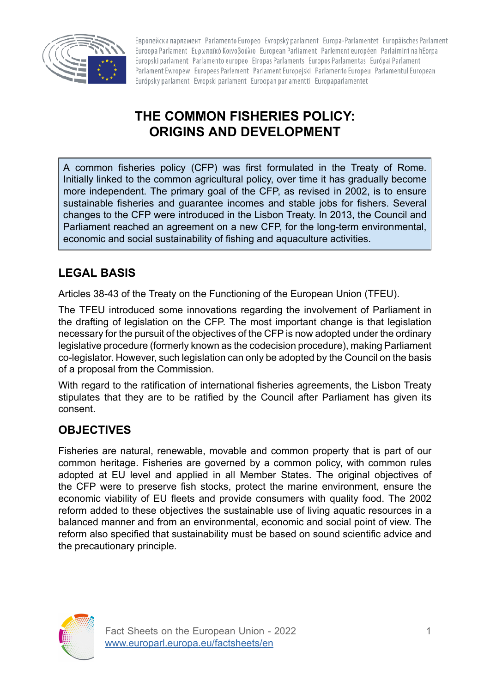

Европейски парламент Parlamento Europeo Evropský parlament Europa-Parlamentet Europäisches Parlament Euroopa Parlament Eupwπαϊκό Κοινοβούλιο European Parliament Parlement européen Parlaimint na hEorpa Europski parlament Parlamento europeo Eiropas Parlaments Europos Parlamentas Európai Parlament Parlament Ewropew Europees Parlement Parlament Europejski Parlamento Europeu Parlamentul European Európsky parlament Evropski parlament Euroopan parlamentti Europaparlamentet

# **THE COMMON FISHERIES POLICY: ORIGINS AND DEVELOPMENT**

A common fisheries policy (CFP) was first formulated in the Treaty of Rome. Initially linked to the common agricultural policy, over time it has gradually become more independent. The primary goal of the CFP, as revised in 2002, is to ensure sustainable fisheries and guarantee incomes and stable jobs for fishers. Several changes to the CFP were introduced in the Lisbon Treaty. In 2013, the Council and Parliament reached an agreement on a new CFP, for the long-term environmental, economic and social sustainability of fishing and aquaculture activities.

## **LEGAL BASIS**

Articles 38-43 of the Treaty on the Functioning of the European Union (TFEU).

The TFEU introduced some innovations regarding the involvement of Parliament in the drafting of legislation on the CFP. The most important change is that legislation necessary for the pursuit of the objectives of the CFP is now adopted under the ordinary legislative procedure (formerly known as the codecision procedure), making Parliament co-legislator. However, such legislation can only be adopted by the Council on the basis of a proposal from the Commission.

With regard to the ratification of international fisheries agreements, the Lisbon Treaty stipulates that they are to be ratified by the Council after Parliament has given its consent.

### **OBJECTIVES**

Fisheries are natural, renewable, movable and common property that is part of our common heritage. Fisheries are governed by a common policy, with common rules adopted at EU level and applied in all Member States. The original objectives of the CFP were to preserve fish stocks, protect the marine environment, ensure the economic viability of EU fleets and provide consumers with quality food. The 2002 reform added to these objectives the sustainable use of living aquatic resources in a balanced manner and from an environmental, economic and social point of view. The reform also specified that sustainability must be based on sound scientific advice and the precautionary principle.

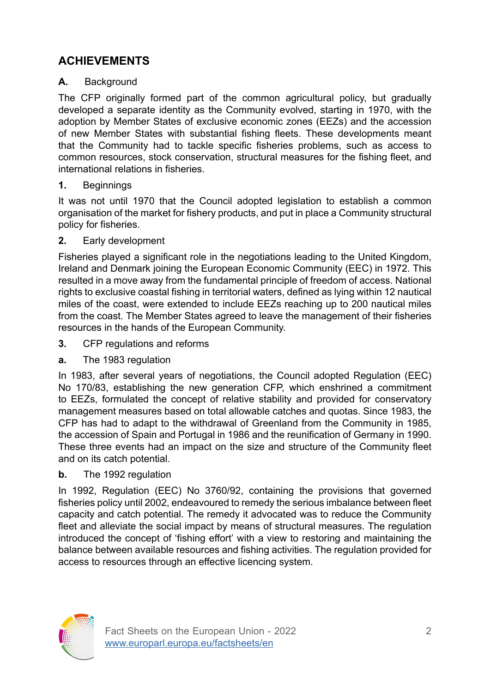## **ACHIEVEMENTS**

#### **A.** Background

The CFP originally formed part of the common agricultural policy, but gradually developed a separate identity as the Community evolved, starting in 1970, with the adoption by Member States of exclusive economic zones (EEZs) and the accession of new Member States with substantial fishing fleets. These developments meant that the Community had to tackle specific fisheries problems, such as access to common resources, stock conservation, structural measures for the fishing fleet, and international relations in fisheries.

**1.** Beginnings

It was not until 1970 that the Council adopted legislation to establish a common organisation of the market for fishery products, and put in place a Community structural policy for fisheries.

**2.** Early development

Fisheries played a significant role in the negotiations leading to the United Kingdom, Ireland and Denmark joining the European Economic Community (EEC) in 1972. This resulted in a move away from the fundamental principle of freedom of access. National rights to exclusive coastal fishing in territorial waters, defined as lying within 12 nautical miles of the coast, were extended to include EEZs reaching up to 200 nautical miles from the coast. The Member States agreed to leave the management of their fisheries resources in the hands of the European Community.

- **3.** CFP regulations and reforms
- **a.** The 1983 regulation

In 1983, after several years of negotiations, the Council adopted Regulation (EEC) No 170/83, establishing the new generation CFP, which enshrined a commitment to EEZs, formulated the concept of relative stability and provided for conservatory management measures based on total allowable catches and quotas. Since 1983, the CFP has had to adapt to the withdrawal of Greenland from the Community in 1985, the accession of Spain and Portugal in 1986 and the reunification of Germany in 1990. These three events had an impact on the size and structure of the Community fleet and on its catch potential.

**b.** The 1992 regulation

In 1992, Regulation (EEC) No 3760/92, containing the provisions that governed fisheries policy until 2002, endeavoured to remedy the serious imbalance between fleet capacity and catch potential. The remedy it advocated was to reduce the Community fleet and alleviate the social impact by means of structural measures. The regulation introduced the concept of 'fishing effort' with a view to restoring and maintaining the balance between available resources and fishing activities. The regulation provided for access to resources through an effective licencing system.

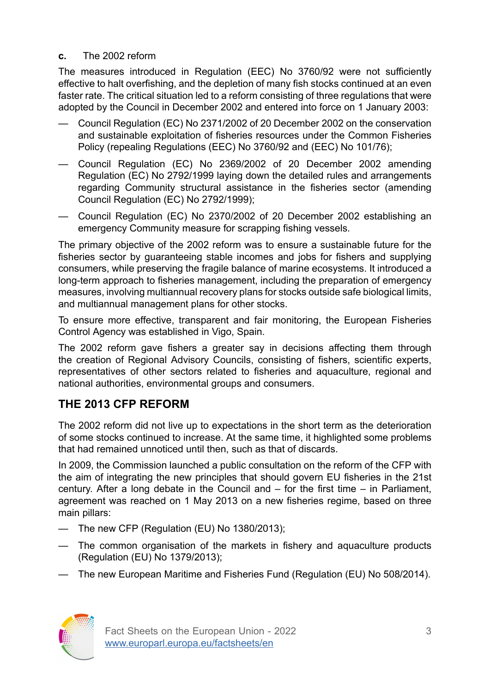#### **c.** The 2002 reform

The measures introduced in Regulation (EEC) No 3760/92 were not sufficiently effective to halt overfishing, and the depletion of many fish stocks continued at an even faster rate. The critical situation led to a reform consisting of three regulations that were adopted by the Council in December 2002 and entered into force on 1 January 2003:

- Council Regulation (EC) No 2371/2002 of 20 December 2002 on the conservation and sustainable exploitation of fisheries resources under the Common Fisheries Policy (repealing Regulations (EEC) No 3760/92 and (EEC) No 101/76);
- Council Regulation (EC) No 2369/2002 of 20 December 2002 amending Regulation (EC) No 2792/1999 laying down the detailed rules and arrangements regarding Community structural assistance in the fisheries sector (amending Council Regulation (EC) No 2792/1999);
- Council Regulation (EC) No 2370/2002 of 20 December 2002 establishing an emergency Community measure for scrapping fishing vessels.

The primary objective of the 2002 reform was to ensure a sustainable future for the fisheries sector by guaranteeing stable incomes and jobs for fishers and supplying consumers, while preserving the fragile balance of marine ecosystems. It introduced a long-term approach to fisheries management, including the preparation of emergency measures, involving multiannual recovery plans for stocks outside safe biological limits, and multiannual management plans for other stocks.

To ensure more effective, transparent and fair monitoring, the European Fisheries Control Agency was established in Vigo, Spain.

The 2002 reform gave fishers a greater say in decisions affecting them through the creation of Regional Advisory Councils, consisting of fishers, scientific experts, representatives of other sectors related to fisheries and aquaculture, regional and national authorities, environmental groups and consumers.

### **THE 2013 CFP REFORM**

The 2002 reform did not live up to expectations in the short term as the deterioration of some stocks continued to increase. At the same time, it highlighted some problems that had remained unnoticed until then, such as that of discards.

In 2009, the Commission launched a public consultation on the reform of the CFP with the aim of integrating the new principles that should govern EU fisheries in the 21st century. After a long debate in the Council and – for the first time – in Parliament, agreement was reached on 1 May 2013 on a new fisheries regime, based on three main pillars:

- The new CFP (Regulation (EU) No 1380/2013);
- The common organisation of the markets in fishery and aquaculture products (Regulation (EU) No 1379/2013);
- The new European Maritime and Fisheries Fund (Regulation (EU) No 508/2014).

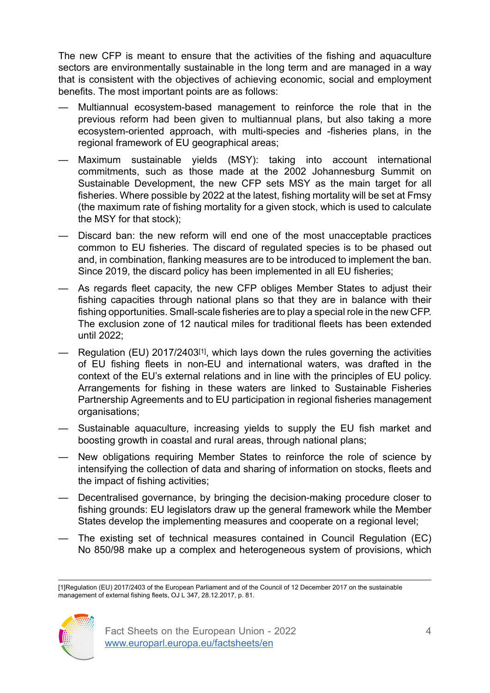The new CFP is meant to ensure that the activities of the fishing and aquaculture sectors are environmentally sustainable in the long term and are managed in a way that is consistent with the objectives of achieving economic, social and employment benefits. The most important points are as follows:

- Multiannual ecosystem-based management to reinforce the role that in the previous reform had been given to multiannual plans, but also taking a more ecosystem-oriented approach, with multi-species and -fisheries plans, in the regional framework of EU geographical areas;
- Maximum sustainable yields (MSY): taking into account international commitments, such as those made at the 2002 Johannesburg Summit on Sustainable Development, the new CFP sets MSY as the main target for all fisheries. Where possible by 2022 at the latest, fishing mortality will be set at Fmsy (the maximum rate of fishing mortality for a given stock, which is used to calculate the MSY for that stock);
- Discard ban: the new reform will end one of the most unacceptable practices common to EU fisheries. The discard of regulated species is to be phased out and, in combination, flanking measures are to be introduced to implement the ban. Since 2019, the discard policy has been implemented in all EU fisheries;
- As regards fleet capacity, the new CFP obliges Member States to adjust their fishing capacities through national plans so that they are in balance with their fishing opportunities. Small-scale fisheries are to play a special role in the new CFP. The exclusion zone of 12 nautical miles for traditional fleets has been extended until 2022;
- Regulation (EU) 2017/2403[1], which lays down the rules governing the activities of EU fishing fleets in non-EU and international waters, was drafted in the context of the EU's external relations and in line with the principles of EU policy. Arrangements for fishing in these waters are linked to Sustainable Fisheries Partnership Agreements and to EU participation in regional fisheries management organisations;
- Sustainable aquaculture, increasing yields to supply the EU fish market and boosting growth in coastal and rural areas, through national plans;
- New obligations requiring Member States to reinforce the role of science by intensifying the collection of data and sharing of information on stocks, fleets and the impact of fishing activities;
- Decentralised governance, by bringing the decision-making procedure closer to fishing grounds: EU legislators draw up the general framework while the Member States develop the implementing measures and cooperate on a regional level;
- The existing set of technical measures contained in Council Regulation (EC) No 850/98 make up a complex and heterogeneous system of provisions, which

<sup>[1]</sup>Regulation (EU) 2017/2403 of the European Parliament and of the Council of 12 December 2017 on the sustainable management of external fishing fleets, OJ L 347, 28.12.2017, p. 81.

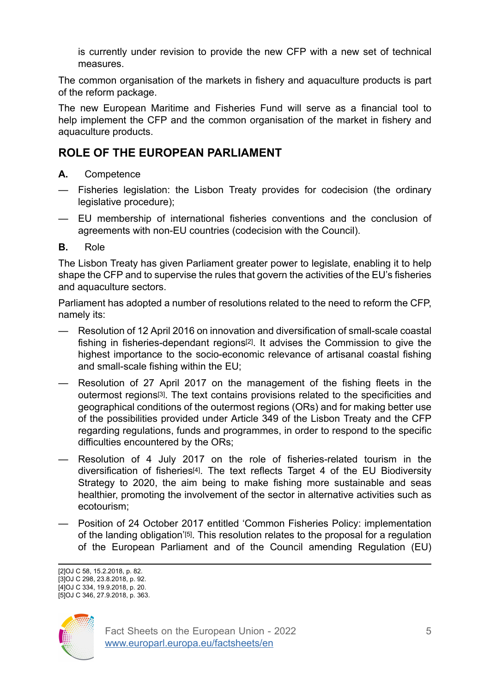is currently under revision to provide the new CFP with a new set of technical measures.

The common organisation of the markets in fishery and aquaculture products is part of the reform package.

The new European Maritime and Fisheries Fund will serve as a financial tool to help implement the CFP and the common organisation of the market in fishery and aquaculture products.

### **ROLE OF THE EUROPEAN PARLIAMENT**

- **A.** Competence
- Fisheries legislation: the Lisbon Treaty provides for codecision (the ordinary legislative procedure);
- EU membership of international fisheries conventions and the conclusion of agreements with non-EU countries (codecision with the Council).
- **B.** Role

The Lisbon Treaty has given Parliament greater power to legislate, enabling it to help shape the CFP and to supervise the rules that govern the activities of the EU's fisheries and aquaculture sectors.

Parliament has adopted a number of resolutions related to the need to reform the CFP, namely its:

- Resolution of 12 April 2016 on innovation and diversification of small-scale coastal fishing in fisheries-dependant regions[2]. It advises the Commission to give the highest importance to the socio-economic relevance of artisanal coastal fishing and small-scale fishing within the EU;
- Resolution of 27 April 2017 on the management of the fishing fleets in the outermost regions[3]. The text contains provisions related to the specificities and geographical conditions of the outermost regions (ORs) and for making better use of the possibilities provided under Article 349 of the Lisbon Treaty and the CFP regarding regulations, funds and programmes, in order to respond to the specific difficulties encountered by the ORs;
- Resolution of 4 July 2017 on the role of fisheries-related tourism in the diversification of fisheries<sup>[4]</sup>. The text reflects Target 4 of the EU Biodiversity Strategy to 2020, the aim being to make fishing more sustainable and seas healthier, promoting the involvement of the sector in alternative activities such as ecotourism;
- Position of 24 October 2017 entitled 'Common Fisheries Policy: implementation of the landing obligation'[5]. This resolution relates to the proposal for a regulation of the European Parliament and of the Council amending Regulation (EU)

<sup>[2]</sup>OJ C 58, 15.2.2018, p. 82. [3]OJ C 298, 23.8.2018, p. 92. [4]OJ C 334, 19.9.2018, p. 20. [5]OJ C 346, 27.9.2018, p. 363.